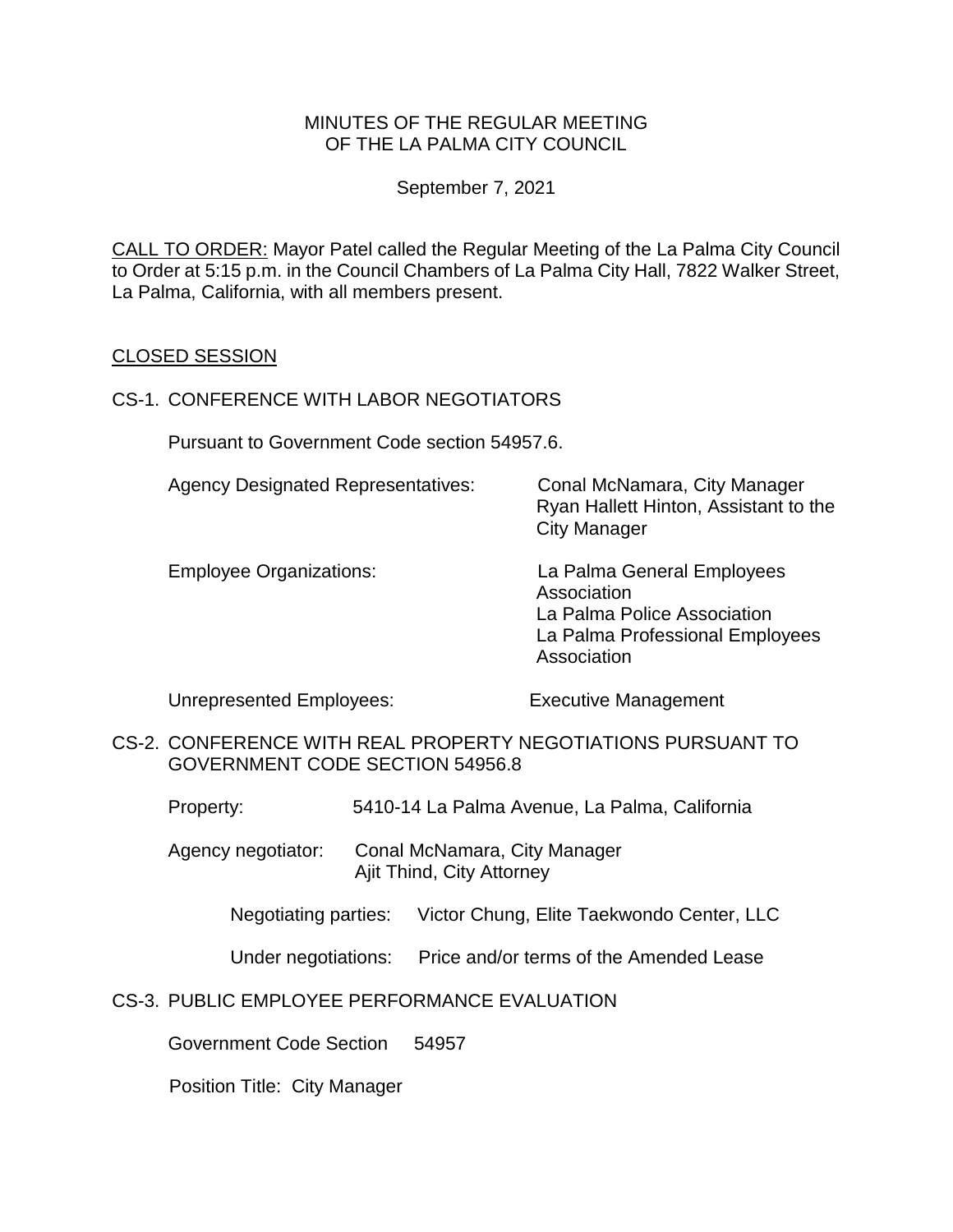### MINUTES OF THE REGULAR MEETING OF THE LA PALMA CITY COUNCIL

September 7, 2021

CALL TO ORDER: Mayor Patel called the Regular Meeting of the La Palma City Council to Order at 5:15 p.m. in the Council Chambers of La Palma City Hall, 7822 Walker Street, La Palma, California, with all members present.

### CLOSED SESSION

#### CS-1. CONFERENCE WITH LABOR NEGOTIATORS

Pursuant to Government Code section 54957.6.

| <b>Agency Designated Representatives:</b> | Conal McNamara, City Manager<br>Ryan Hallett Hinton, Assistant to the<br><b>City Manager</b>                               |
|-------------------------------------------|----------------------------------------------------------------------------------------------------------------------------|
| <b>Employee Organizations:</b>            | La Palma General Employees<br>Association<br>La Palma Police Association<br>La Palma Professional Employees<br>Association |

Unrepresented Employees: Executive Management

CS-2. CONFERENCE WITH REAL PROPERTY NEGOTIATIONS PURSUANT TO GOVERNMENT CODE SECTION 54956.8

Property: 5410-14 La Palma Avenue, La Palma, California

Agency negotiator: Conal McNamara, City Manager Ajit Thind, City Attorney

Negotiating parties: Victor Chung, Elite Taekwondo Center, LLC

Under negotiations: Price and/or terms of the Amended Lease

#### CS-3. PUBLIC EMPLOYEE PERFORMANCE EVALUATION

Government Code Section 54957

Position Title: City Manager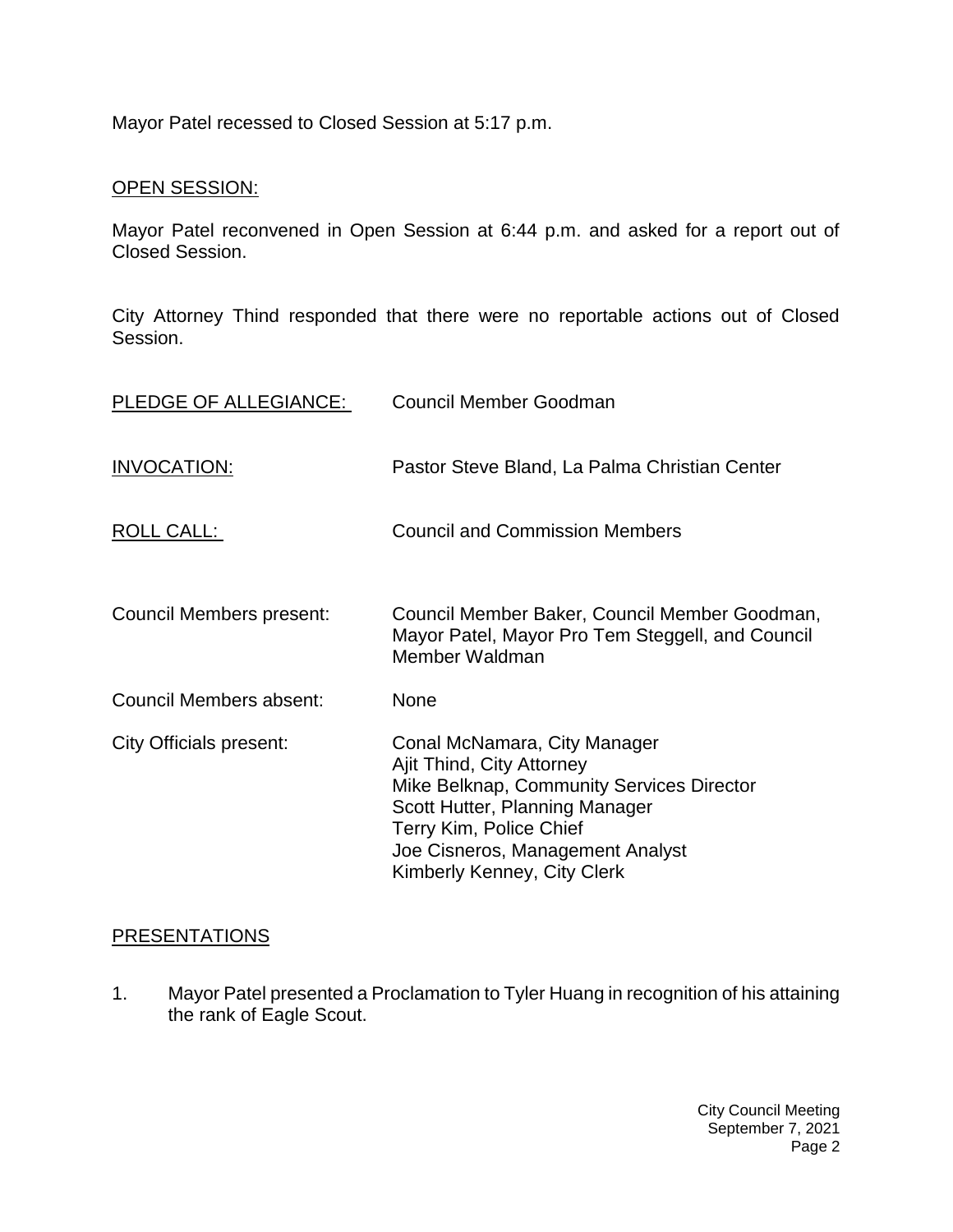Mayor Patel recessed to Closed Session at 5:17 p.m.

### OPEN SESSION:

Mayor Patel reconvened in Open Session at 6:44 p.m. and asked for a report out of Closed Session.

City Attorney Thind responded that there were no reportable actions out of Closed Session.

| PLEDGE OF ALLEGIANCE:          | <b>Council Member Goodman</b>                                                                                                                                                                                                          |
|--------------------------------|----------------------------------------------------------------------------------------------------------------------------------------------------------------------------------------------------------------------------------------|
| <b>INVOCATION:</b>             | Pastor Steve Bland, La Palma Christian Center                                                                                                                                                                                          |
| ROLL CALL:                     | <b>Council and Commission Members</b>                                                                                                                                                                                                  |
| Council Members present:       | Council Member Baker, Council Member Goodman,<br>Mayor Patel, Mayor Pro Tem Steggell, and Council<br>Member Waldman                                                                                                                    |
| Council Members absent:        | <b>None</b>                                                                                                                                                                                                                            |
| <b>City Officials present:</b> | Conal McNamara, City Manager<br>Ajit Thind, City Attorney<br>Mike Belknap, Community Services Director<br>Scott Hutter, Planning Manager<br>Terry Kim, Police Chief<br>Joe Cisneros, Management Analyst<br>Kimberly Kenney, City Clerk |

# **[PRESENTATIONS](https://lapalma.granicus.com/MediaPlayer.php?view_id=&clip_id=1268&meta_id=170739)**

1. [Mayor Patel presented a Proclamation to Tyler Huang in recognition of his attaining](https://lapalma.granicus.com/MediaPlayer.php?view_id=&clip_id=1268&meta_id=170740)  [the rank of Eagle Scout.](https://lapalma.granicus.com/MediaPlayer.php?view_id=&clip_id=1268&meta_id=170740)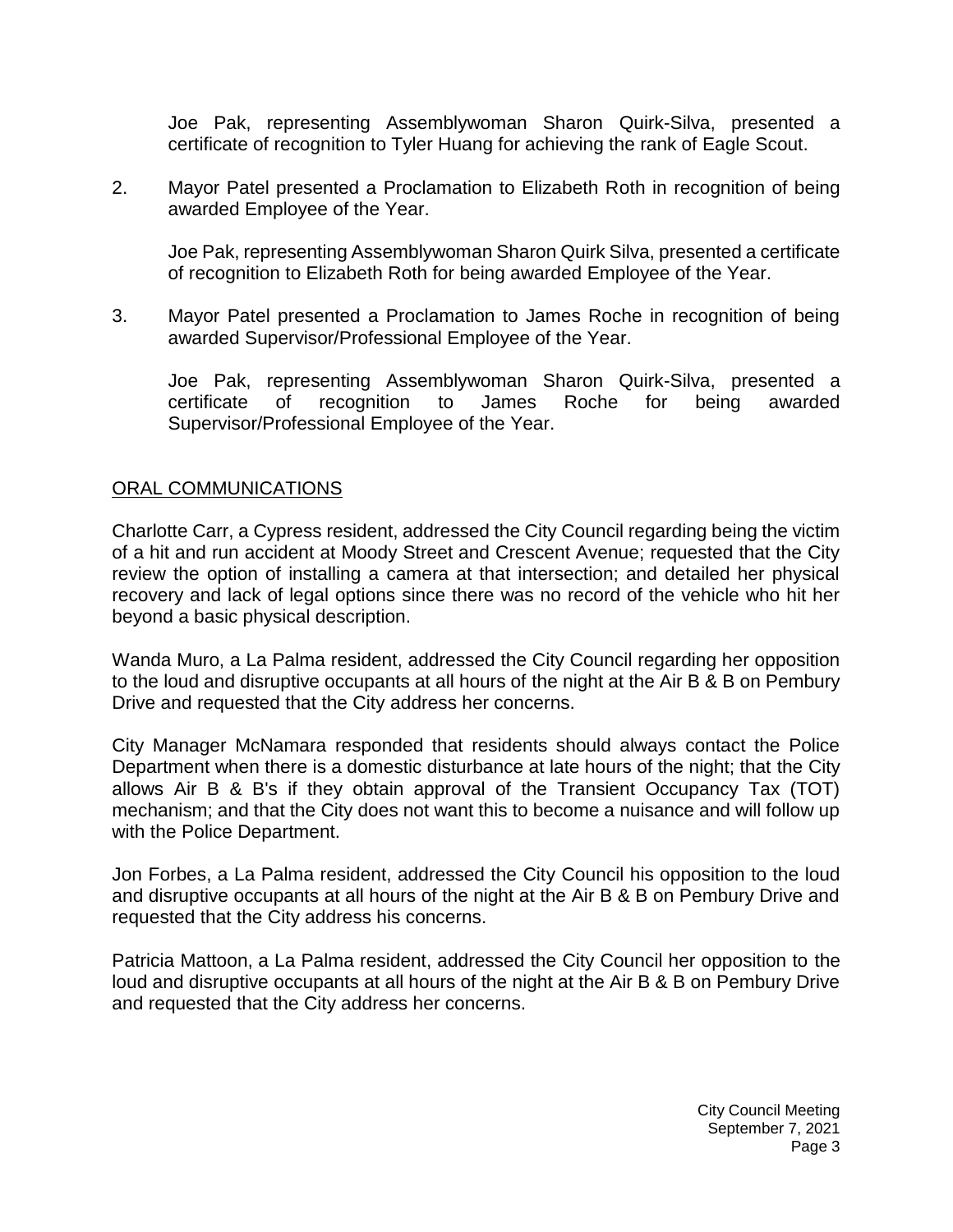Joe Pak, representing Assemblywoman Sharon Quirk-Silva, presented a certificate of recognition to Tyler Huang for achieving the rank of Eagle Scout.

2. [Mayor Patel presented a Proclamation to Elizabeth Roth in recognition of being](https://lapalma.granicus.com/MediaPlayer.php?view_id=&clip_id=1268&meta_id=170741)  [awarded Employee of the Year.](https://lapalma.granicus.com/MediaPlayer.php?view_id=&clip_id=1268&meta_id=170741)

Joe Pak, representing Assemblywoman Sharon Quirk Silva, presented a certificate of recognition to Elizabeth Roth for being awarded Employee of the Year.

3. [Mayor Patel presented a Proclamation to James Roche in recognition of being](https://lapalma.granicus.com/MediaPlayer.php?view_id=&clip_id=1268&meta_id=170742)  [awarded Supervisor/Professional Employee of the Year.](https://lapalma.granicus.com/MediaPlayer.php?view_id=&clip_id=1268&meta_id=170742)

Joe Pak, representing Assemblywoman Sharon Quirk-Silva, presented a certificate of recognition to James Roche for being awarded Supervisor/Professional Employee of the Year.

#### [ORAL COMMUNICATIONS](https://lapalma.granicus.com/MediaPlayer.php?view_id=&clip_id=1268&meta_id=170743)

Charlotte Carr, a Cypress resident, addressed the City Council regarding being the victim of a hit and run accident at Moody Street and Crescent Avenue; requested that the City review the option of installing a camera at that intersection; and detailed her physical recovery and lack of legal options since there was no record of the vehicle who hit her beyond a basic physical description.

Wanda Muro, a La Palma resident, addressed the City Council regarding her opposition to the loud and disruptive occupants at all hours of the night at the Air B & B on Pembury Drive and requested that the City address her concerns.

City Manager McNamara responded that residents should always contact the Police Department when there is a domestic disturbance at late hours of the night; that the City allows Air B & B's if they obtain approval of the Transient Occupancy Tax (TOT) mechanism; and that the City does not want this to become a nuisance and will follow up with the Police Department.

Jon Forbes, a La Palma resident, addressed the City Council his opposition to the loud and disruptive occupants at all hours of the night at the Air B & B on Pembury Drive and requested that the City address his concerns.

Patricia Mattoon, a La Palma resident, addressed the City Council her opposition to the loud and disruptive occupants at all hours of the night at the Air B & B on Pembury Drive and requested that the City address her concerns.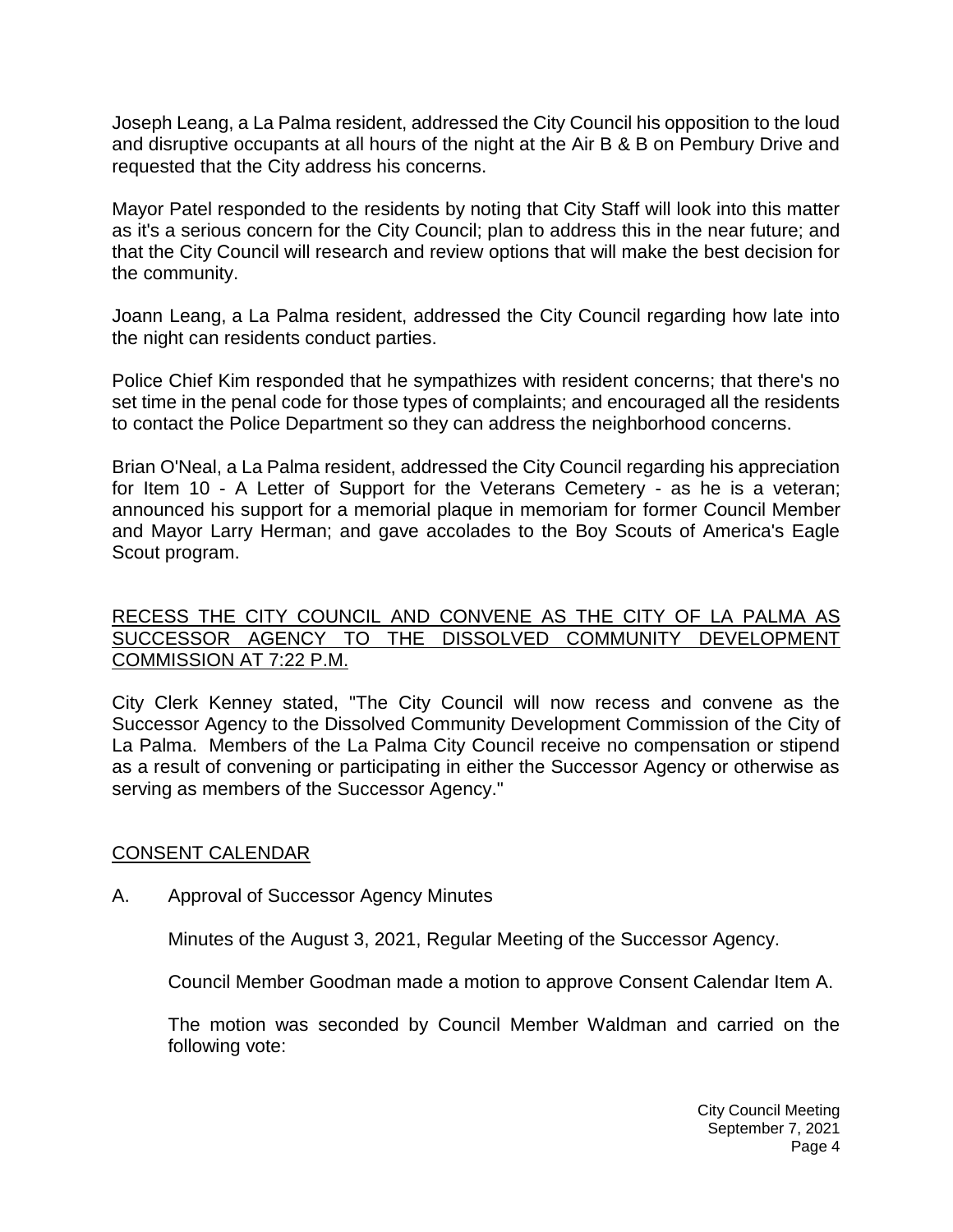Joseph Leang, a La Palma resident, addressed the City Council his opposition to the loud and disruptive occupants at all hours of the night at the Air B & B on Pembury Drive and requested that the City address his concerns.

Mayor Patel responded to the residents by noting that City Staff will look into this matter as it's a serious concern for the City Council; plan to address this in the near future; and that the City Council will research and review options that will make the best decision for the community.

Joann Leang, a La Palma resident, addressed the City Council regarding how late into the night can residents conduct parties.

Police Chief Kim responded that he sympathizes with resident concerns; that there's no set time in the penal code for those types of complaints; and encouraged all the residents to contact the Police Department so they can address the neighborhood concerns.

Brian O'Neal, a La Palma resident, addressed the City Council regarding his appreciation for Item 10 - A Letter of Support for the Veterans Cemetery - as he is a veteran; announced his support for a memorial plaque in memoriam for former Council Member and Mayor Larry Herman; and gave accolades to the Boy Scouts of America's Eagle Scout program.

# [RECESS THE CITY COUNCIL AND CONVENE AS THE CITY OF LA PALMA AS](https://lapalma.granicus.com/MediaPlayer.php?view_id=&clip_id=1268&meta_id=170744)  [SUCCESSOR AGENCY TO THE DISSOLVED COMMUNITY DEVELOPMENT](https://lapalma.granicus.com/MediaPlayer.php?view_id=&clip_id=1268&meta_id=170744)  [COMMISSION AT 7:22 P.M.](https://lapalma.granicus.com/MediaPlayer.php?view_id=&clip_id=1268&meta_id=170744)

City Clerk Kenney stated, "The City Council will now recess and convene as the Successor Agency to the Dissolved Community Development Commission of the City of La Palma. Members of the La Palma City Council receive no compensation or stipend as a result of convening or participating in either the Successor Agency or otherwise as serving as members of the Successor Agency."

### [CONSENT CALENDAR](https://lapalma.granicus.com/MediaPlayer.php?view_id=&clip_id=1268&meta_id=170746)

A. Approval of Successor Agency Minutes

Minutes of the August 3, 2021, Regular Meeting of the Successor Agency.

Council Member Goodman made a motion to approve Consent Calendar Item A.

The motion was seconded by Council Member Waldman and carried on the following vote: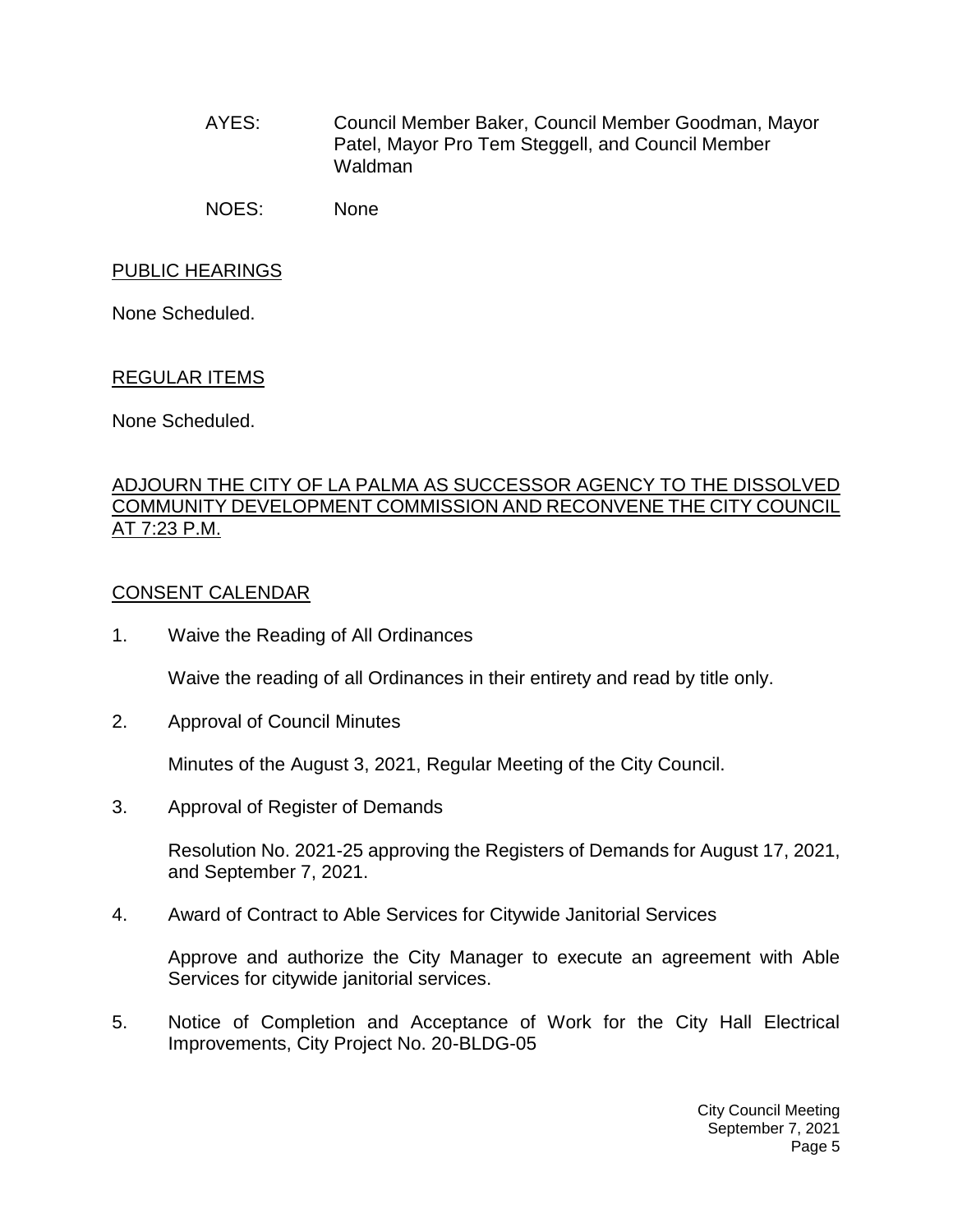AYES: Council Member Baker, Council Member Goodman, Mayor Patel, Mayor Pro Tem Steggell, and Council Member Waldman

NOES: None

# [PUBLIC HEARINGS](https://lapalma.granicus.com/MediaPlayer.php?view_id=&clip_id=1268&meta_id=170748)

None Scheduled.

### [REGULAR ITEMS](https://lapalma.granicus.com/MediaPlayer.php?view_id=&clip_id=1268&meta_id=170749)

None Scheduled.

#### [ADJOURN THE CITY OF LA PALMA AS SUCCESSOR AGENCY TO THE DISSOLVED](https://lapalma.granicus.com/MediaPlayer.php?view_id=&clip_id=1268&meta_id=170750)  [COMMUNITY DEVELOPMENT COMMISSION AND RECONVENE THE CITY COUNCIL](https://lapalma.granicus.com/MediaPlayer.php?view_id=&clip_id=1268&meta_id=170750)  [AT 7:23 P.M.](https://lapalma.granicus.com/MediaPlayer.php?view_id=&clip_id=1268&meta_id=170750)

### [CONSENT CALENDAR](https://lapalma.granicus.com/MediaPlayer.php?view_id=&clip_id=1268&meta_id=170752)

1. Waive the Reading of All Ordinances

Waive the reading of all Ordinances in their entirety and read by title only.

2. Approval of Council Minutes

Minutes of the August 3, 2021, Regular Meeting of the City Council.

3. Approval of Register of Demands

Resolution No. 2021-25 approving the Registers of Demands for August 17, 2021, and September 7, 2021.

4. Award of Contract to Able Services for Citywide Janitorial Services

Approve and authorize the City Manager to execute an agreement with Able Services for citywide janitorial services.

5. Notice of Completion and Acceptance of Work for the City Hall Electrical Improvements, City Project No. 20-BLDG-05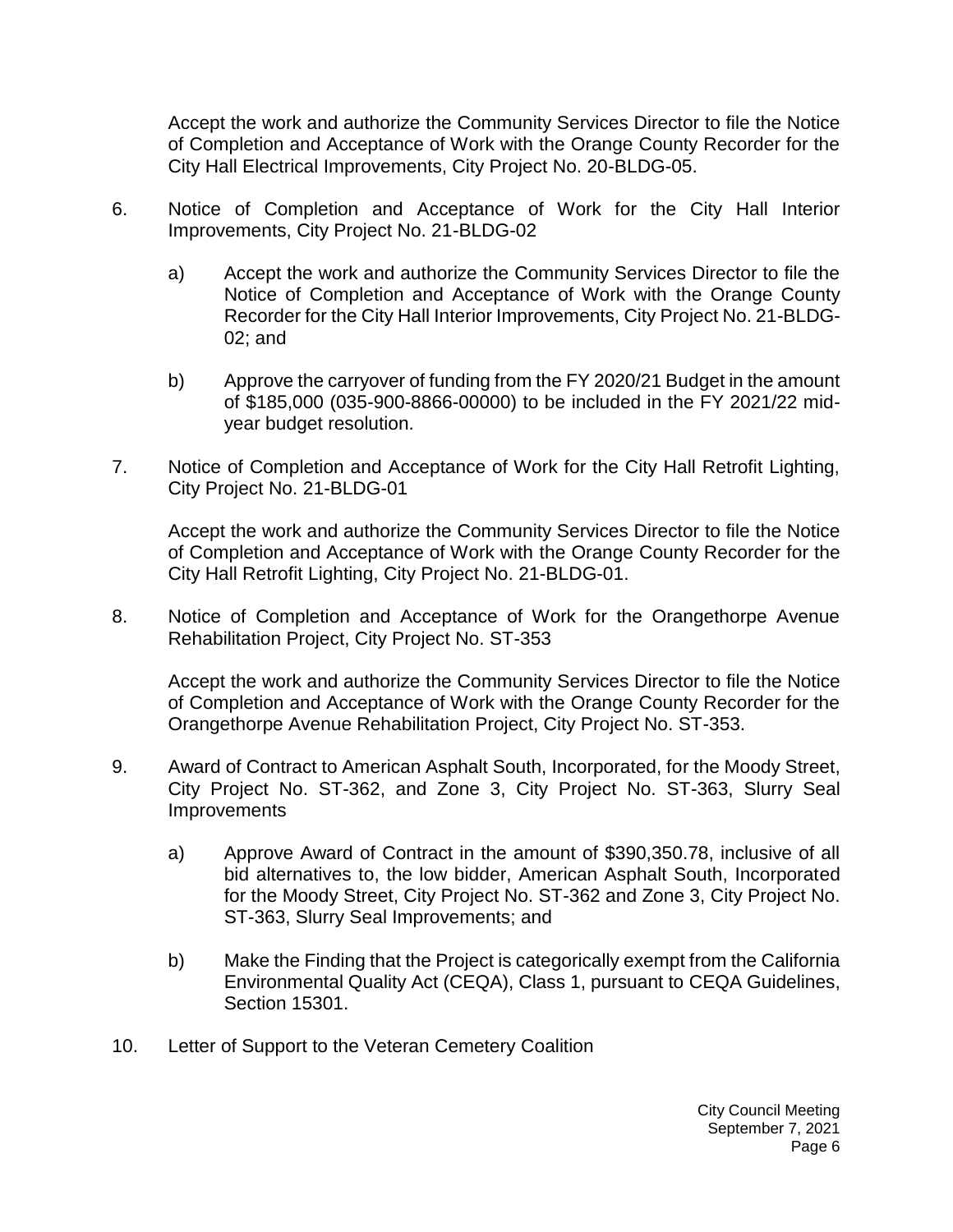Accept the work and authorize the Community Services Director to file the Notice of Completion and Acceptance of Work with the Orange County Recorder for the City Hall Electrical Improvements, City Project No. 20-BLDG-05.

- 6. Notice of Completion and Acceptance of Work for the City Hall Interior Improvements, City Project No. 21-BLDG-02
	- a) Accept the work and authorize the Community Services Director to file the Notice of Completion and Acceptance of Work with the Orange County Recorder for the City Hall Interior Improvements, City Project No. 21-BLDG-02; and
	- b) Approve the carryover of funding from the FY 2020/21 Budget in the amount of \$185,000 (035-900-8866-00000) to be included in the FY 2021/22 midyear budget resolution.
- 7. Notice of Completion and Acceptance of Work for the City Hall Retrofit Lighting, City Project No. 21-BLDG-01

Accept the work and authorize the Community Services Director to file the Notice of Completion and Acceptance of Work with the Orange County Recorder for the City Hall Retrofit Lighting, City Project No. 21-BLDG-01.

8. Notice of Completion and Acceptance of Work for the Orangethorpe Avenue Rehabilitation Project, City Project No. ST-353

Accept the work and authorize the Community Services Director to file the Notice of Completion and Acceptance of Work with the Orange County Recorder for the Orangethorpe Avenue Rehabilitation Project, City Project No. ST-353.

- 9. Award of Contract to American Asphalt South, Incorporated, for the Moody Street, City Project No. ST-362, and Zone 3, City Project No. ST-363, Slurry Seal Improvements
	- a) Approve Award of Contract in the amount of \$390,350.78, inclusive of all bid alternatives to, the low bidder, American Asphalt South, Incorporated for the Moody Street, City Project No. ST-362 and Zone 3, City Project No. ST-363, Slurry Seal Improvements; and
	- b) Make the Finding that the Project is categorically exempt from the California Environmental Quality Act (CEQA), Class 1, pursuant to CEQA Guidelines, Section 15301.
- 10. Letter of Support to the Veteran Cemetery Coalition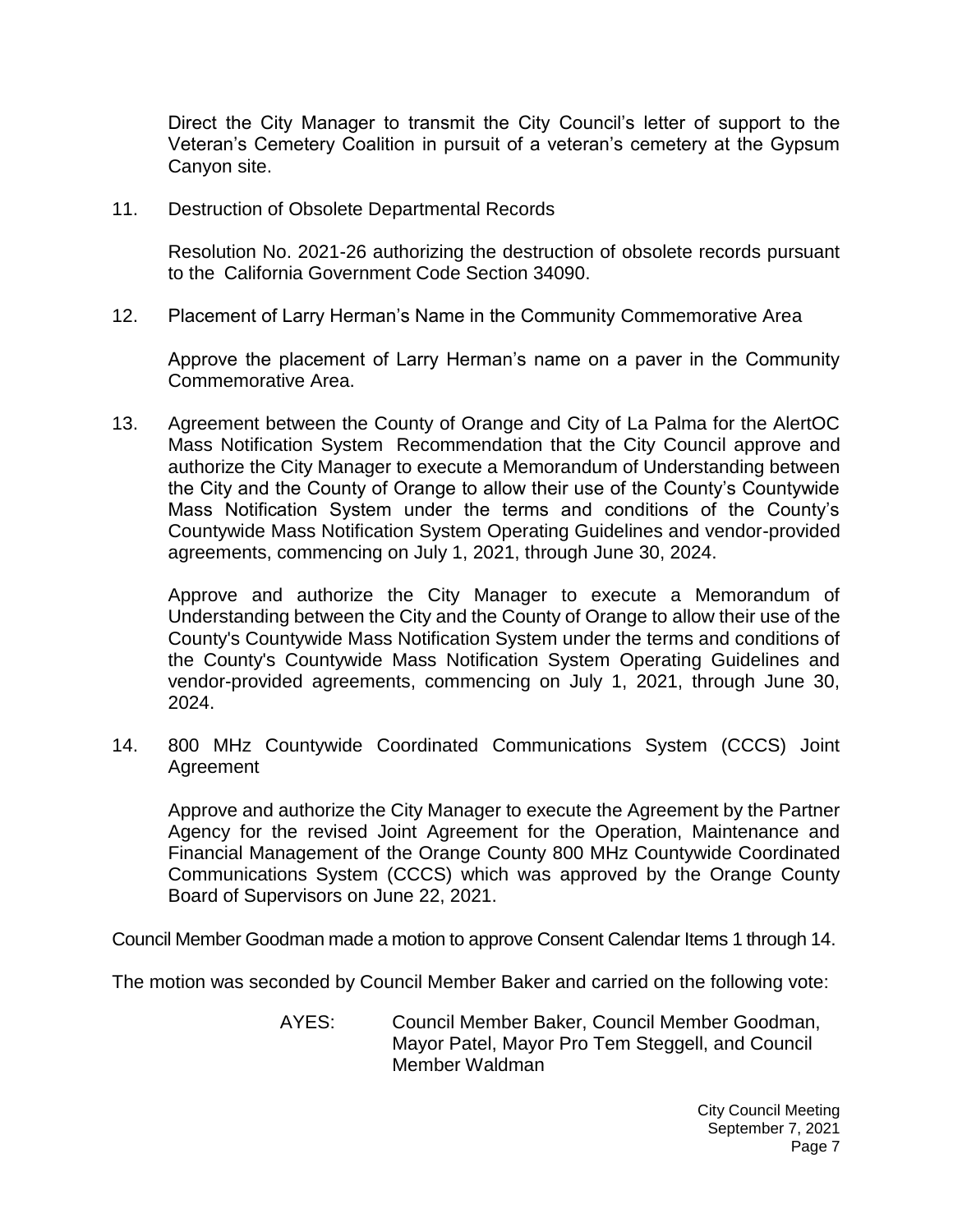Direct the City Manager to transmit the City Council's letter of support to the Veteran's Cemetery Coalition in pursuit of a veteran's cemetery at the Gypsum Canyon site.

11. Destruction of Obsolete Departmental Records

Resolution No. 2021-26 authorizing the destruction of obsolete records pursuant to the California Government Code Section 34090.

12. Placement of Larry Herman's Name in the Community Commemorative Area

Approve the placement of Larry Herman's name on a paver in the Community Commemorative Area.

13. Agreement between the County of Orange and City of La Palma for the AlertOC Mass Notification System Recommendation that the City Council approve and authorize the City Manager to execute a Memorandum of Understanding between the City and the County of Orange to allow their use of the County's Countywide Mass Notification System under the terms and conditions of the County's Countywide Mass Notification System Operating Guidelines and vendor-provided agreements, commencing on July 1, 2021, through June 30, 2024.

Approve and authorize the City Manager to execute a Memorandum of Understanding between the City and the County of Orange to allow their use of the County's Countywide Mass Notification System under the terms and conditions of the County's Countywide Mass Notification System Operating Guidelines and vendor-provided agreements, commencing on July 1, 2021, through June 30, 2024.

14. 800 MHz Countywide Coordinated Communications System (CCCS) Joint Agreement

Approve and authorize the City Manager to execute the Agreement by the Partner Agency for the revised Joint Agreement for the Operation, Maintenance and Financial Management of the Orange County 800 MHz Countywide Coordinated Communications System (CCCS) which was approved by the Orange County Board of Supervisors on June 22, 2021.

Council Member Goodman made a motion to approve Consent Calendar Items 1 through 14.

The motion was seconded by Council Member Baker and carried on the following vote:

AYES: Council Member Baker, Council Member Goodman, Mayor Patel, Mayor Pro Tem Steggell, and Council Member Waldman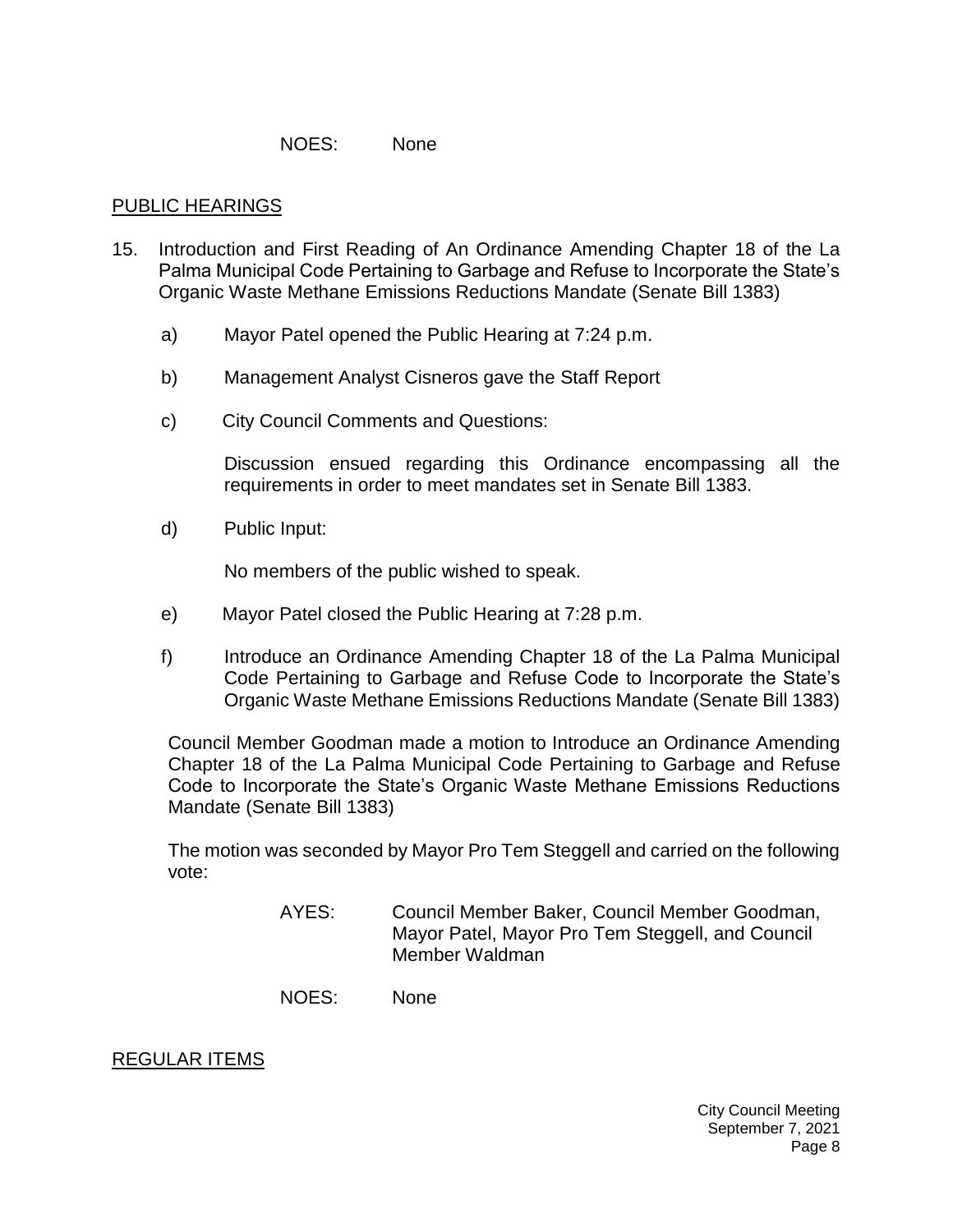#### NOES: None

#### [PUBLIC HEARINGS](https://lapalma.granicus.com/MediaPlayer.php?view_id=&clip_id=1268&meta_id=170771)

- 15. [Introduction and First Reading of An Ordinance Amending Chapter 18 of the La](https://lapalma.granicus.com/MediaPlayer.php?view_id=&clip_id=1268&meta_id=170772)  [Palma Municipal Code Pertaining to Garbage and Refuse to Incorporate the State's](https://lapalma.granicus.com/MediaPlayer.php?view_id=&clip_id=1268&meta_id=170772)  [Organic Waste Methane Emissions Reductions Mandate \(Senate Bill 1383\)](https://lapalma.granicus.com/MediaPlayer.php?view_id=&clip_id=1268&meta_id=170772)
	- a) [Mayor Patel opened the Public Hearing at 7:24 p.m.](https://lapalma.granicus.com/MediaPlayer.php?view_id=&clip_id=1268&meta_id=170773)
	- b) [Management Analyst Cisneros gave the](https://lapalma.granicus.com/MediaPlayer.php?view_id=&clip_id=1268&meta_id=170774) Staff Report
	- c) [City Council Comments and Questions:](https://lapalma.granicus.com/MediaPlayer.php?view_id=&clip_id=1268&meta_id=170775)

Discussion ensued regarding this Ordinance encompassing all the requirements in order to meet mandates set in Senate Bill 1383.

d) [Public Input:](https://lapalma.granicus.com/MediaPlayer.php?view_id=&clip_id=1268&meta_id=170776)

No members of the public wished to speak.

- e) [Mayor Patel closed the Public Hearing at 7:28 p.m.](https://lapalma.granicus.com/MediaPlayer.php?view_id=&clip_id=1268&meta_id=170777)
- f) Introduce an Ordinance Amending Chapter 18 of the La Palma Municipal Code Pertaining to Garbage and Refuse Code to Incorporate the State's Organic Waste Methane Emissions Reductions Mandate (Senate Bill 1383)

Council Member Goodman made a motion to Introduce an Ordinance Amending Chapter 18 of the La Palma Municipal Code Pertaining to Garbage and Refuse Code to Incorporate the State's Organic Waste Methane Emissions Reductions Mandate (Senate Bill 1383)

The motion was seconded by Mayor Pro Tem Steggell and carried on the following vote:

> AYES: Council Member Baker, Council Member Goodman, Mayor Patel, Mayor Pro Tem Steggell, and Council Member Waldman

NOES: None

#### [REGULAR ITEMS](https://lapalma.granicus.com/MediaPlayer.php?view_id=&clip_id=1268&meta_id=170779)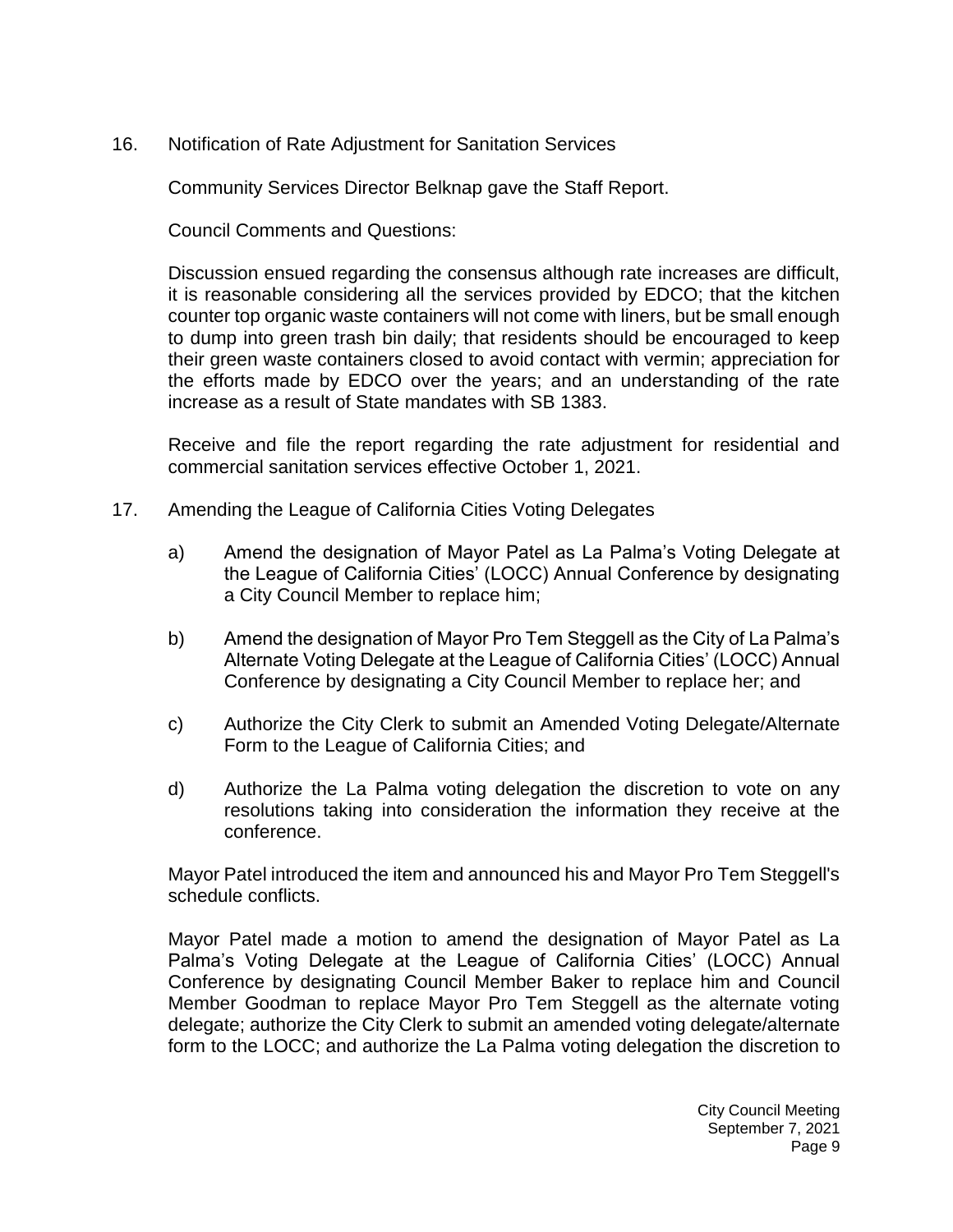16. [Notification of Rate Adjustment for Sanitation Services](https://lapalma.granicus.com/MediaPlayer.php?view_id=&clip_id=1268&meta_id=170780)

Community Services Director Belknap gave the Staff Report.

Council Comments and Questions:

Discussion ensued regarding the consensus although rate increases are difficult, it is reasonable considering all the services provided by EDCO; that the kitchen counter top organic waste containers will not come with liners, but be small enough to dump into green trash bin daily; that residents should be encouraged to keep their green waste containers closed to avoid contact with vermin; appreciation for the efforts made by EDCO over the years; and an understanding of the rate increase as a result of State mandates with SB 1383.

Receive and file the report regarding the rate adjustment for residential and commercial sanitation services effective October 1, 2021.

- 17. [Amending the League of California Cities Voting Delegates](https://lapalma.granicus.com/MediaPlayer.php?view_id=&clip_id=1268&meta_id=170781)
	- a) Amend the designation of Mayor Patel as La Palma's Voting Delegate at the League of California Cities' (LOCC) Annual Conference by designating a City Council Member to replace him;
	- b) Amend the designation of Mayor Pro Tem Steggell as the City of La Palma's Alternate Voting Delegate at the League of California Cities' (LOCC) Annual Conference by designating a City Council Member to replace her; and
	- c) Authorize the City Clerk to submit an Amended Voting Delegate/Alternate Form to the League of California Cities; and
	- d) Authorize the La Palma voting delegation the discretion to vote on any resolutions taking into consideration the information they receive at the conference.

Mayor Patel introduced the item and announced his and Mayor Pro Tem Steggell's schedule conflicts.

Mayor Patel made a motion to amend the designation of Mayor Patel as La Palma's Voting Delegate at the League of California Cities' (LOCC) Annual Conference by designating Council Member Baker to replace him and Council Member Goodman to replace Mayor Pro Tem Steggell as the alternate voting delegate; authorize the City Clerk to submit an amended voting delegate/alternate form to the LOCC; and authorize the La Palma voting delegation the discretion to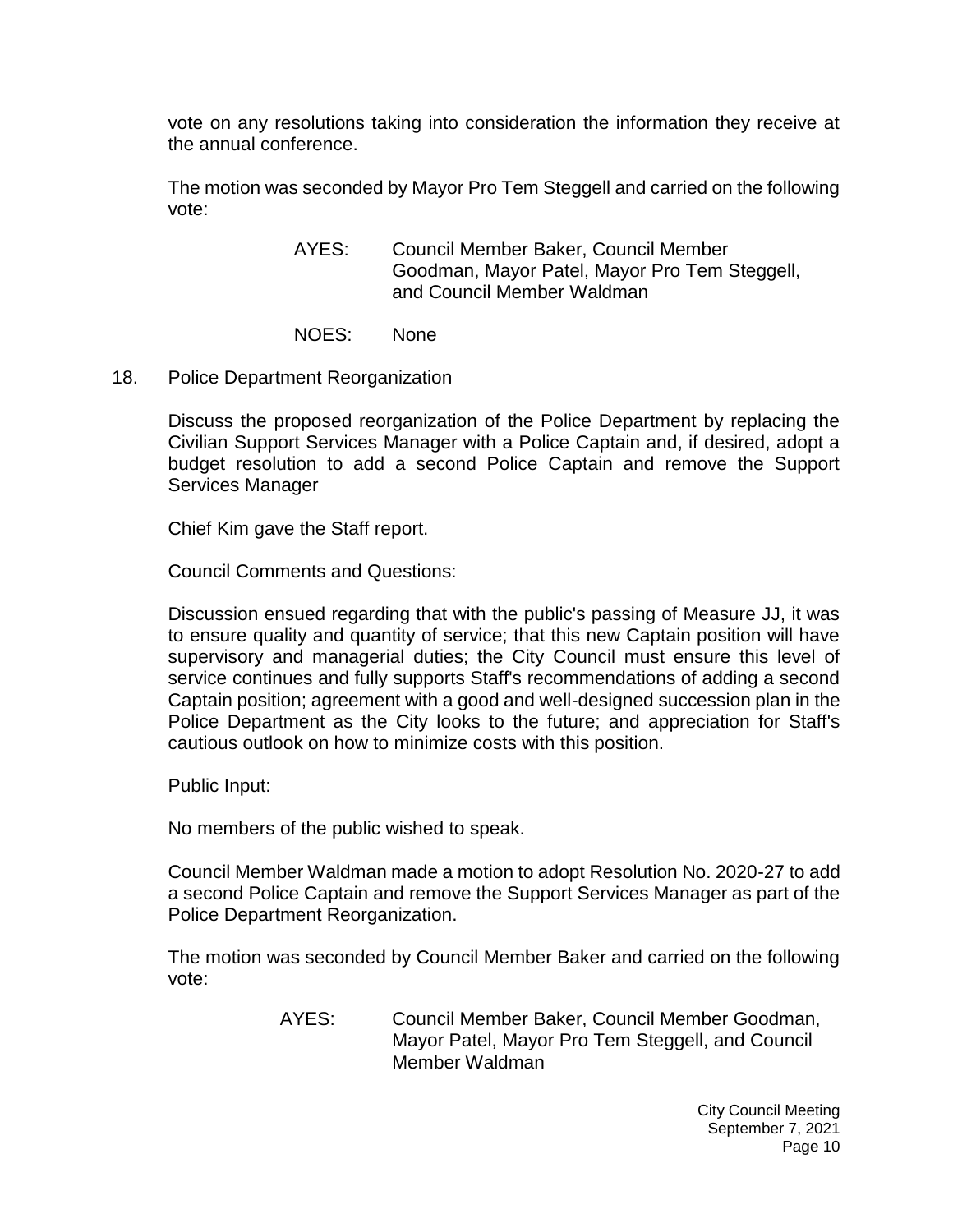vote on any resolutions taking into consideration the information they receive at the annual conference.

The motion was seconded by Mayor Pro Tem Steggell and carried on the following vote:

> AYES: Council Member Baker, Council Member Goodman, Mayor Patel, Mayor Pro Tem Steggell, and Council Member Waldman

NOES: None

18. [Police Department Reorganization](https://lapalma.granicus.com/MediaPlayer.php?view_id=&clip_id=1268&meta_id=170786)

Discuss the proposed reorganization of the Police Department by replacing the Civilian Support Services Manager with a Police Captain and, if desired, adopt a budget resolution to add a second Police Captain and remove the Support Services Manager

Chief Kim gave the Staff report.

Council Comments and Questions:

Discussion ensued regarding that with the public's passing of Measure JJ, it was to ensure quality and quantity of service; that this new Captain position will have supervisory and managerial duties; the City Council must ensure this level of service continues and fully supports Staff's recommendations of adding a second Captain position; agreement with a good and well-designed succession plan in the Police Department as the City looks to the future; and appreciation for Staff's cautious outlook on how to minimize costs with this position.

Public Input:

No members of the public wished to speak.

Council Member Waldman made a motion to adopt Resolution No. 2020-27 to add a second Police Captain and remove the Support Services Manager as part of the Police Department Reorganization.

The motion was seconded by Council Member Baker and carried on the following vote:

> AYES: Council Member Baker, Council Member Goodman, Mayor Patel, Mayor Pro Tem Steggell, and Council Member Waldman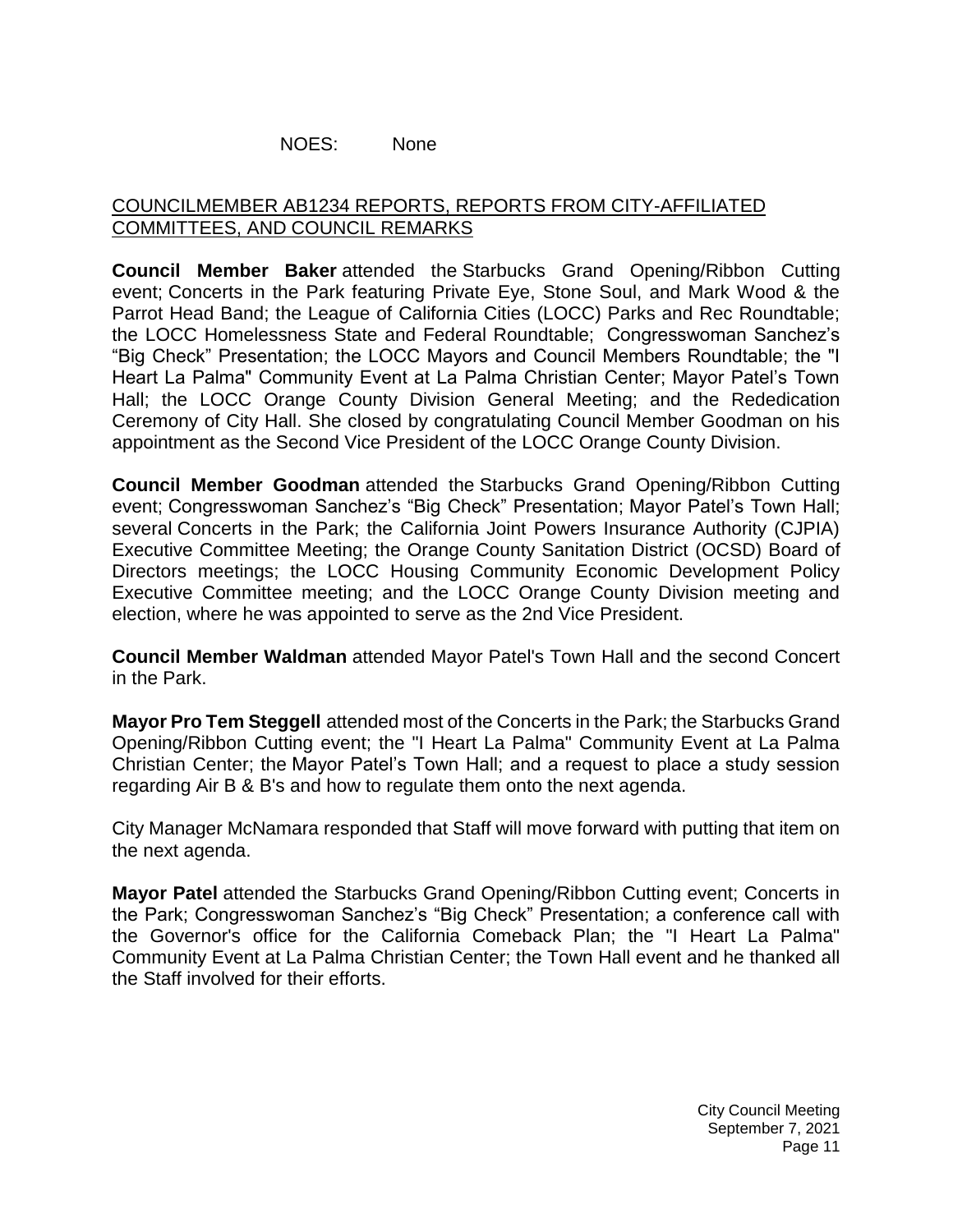### NOES: None

# [COUNCILMEMBER AB1234 REPORTS, REPORTS FROM CITY-AFFILIATED](https://lapalma.granicus.com/MediaPlayer.php?view_id=&clip_id=1268&meta_id=170787)  [COMMITTEES, AND COUNCIL REMARKS](https://lapalma.granicus.com/MediaPlayer.php?view_id=&clip_id=1268&meta_id=170787)

**Council Member Baker** attended the Starbucks Grand Opening/Ribbon Cutting event; Concerts in the Park featuring Private Eye, Stone Soul, and Mark Wood & the Parrot Head Band; the League of California Cities (LOCC) Parks and Rec Roundtable; the LOCC Homelessness State and Federal Roundtable; Congresswoman Sanchez's "Big Check" Presentation; the LOCC Mayors and Council Members Roundtable; the "I Heart La Palma" Community Event at La Palma Christian Center; Mayor Patel's Town Hall; the LOCC Orange County Division General Meeting; and the Rededication Ceremony of City Hall. She closed by congratulating Council Member Goodman on his appointment as the Second Vice President of the LOCC Orange County Division.

**Council Member Goodman** attended the Starbucks Grand Opening/Ribbon Cutting event; Congresswoman Sanchez's "Big Check" Presentation; Mayor Patel's Town Hall; several Concerts in the Park; the California Joint Powers Insurance Authority (CJPIA) Executive Committee Meeting; the Orange County Sanitation District (OCSD) Board of Directors meetings; the LOCC Housing Community Economic Development Policy Executive Committee meeting; and the LOCC Orange County Division meeting and election, where he was appointed to serve as the 2nd Vice President.

**Council Member Waldman** attended Mayor Patel's Town Hall and the second Concert in the Park.

**Mayor Pro Tem Steggell** attended most of the Concerts in the Park; the Starbucks Grand Opening/Ribbon Cutting event; the "I Heart La Palma" Community Event at La Palma Christian Center; the Mayor Patel's Town Hall; and a request to place a study session regarding Air B & B's and how to regulate them onto the next agenda.

City Manager McNamara responded that Staff will move forward with putting that item on the next agenda.

**Mayor Patel** attended the Starbucks Grand Opening/Ribbon Cutting event; Concerts in the Park; Congresswoman Sanchez's "Big Check" Presentation; a conference call with the Governor's office for the California Comeback Plan; the "I Heart La Palma" Community Event at La Palma Christian Center; the Town Hall event and he thanked all the Staff involved for their efforts.